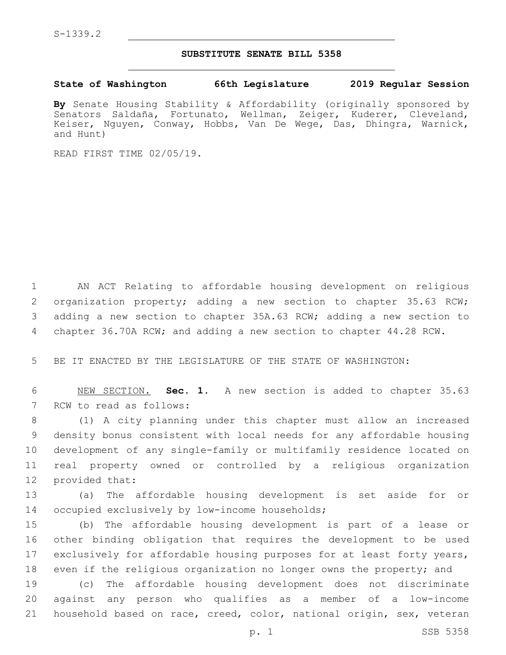## **SUBSTITUTE SENATE BILL 5358**

**State of Washington 66th Legislature 2019 Regular Session**

**By** Senate Housing Stability & Affordability (originally sponsored by Senators Saldaña, Fortunato, Wellman, Zeiger, Kuderer, Cleveland, Keiser, Nguyen, Conway, Hobbs, Van De Wege, Das, Dhingra, Warnick, and Hunt)

READ FIRST TIME 02/05/19.

 AN ACT Relating to affordable housing development on religious 2 organization property; adding a new section to chapter 35.63 RCW; adding a new section to chapter 35A.63 RCW; adding a new section to chapter 36.70A RCW; and adding a new section to chapter 44.28 RCW.

5 BE IT ENACTED BY THE LEGISLATURE OF THE STATE OF WASHINGTON:

6 NEW SECTION. **Sec. 1.** A new section is added to chapter 35.63 7 RCW to read as follows:

 (1) A city planning under this chapter must allow an increased density bonus consistent with local needs for any affordable housing development of any single-family or multifamily residence located on real property owned or controlled by a religious organization 12 provided that:

13 (a) The affordable housing development is set aside for or 14 occupied exclusively by low-income households;

 (b) The affordable housing development is part of a lease or other binding obligation that requires the development to be used exclusively for affordable housing purposes for at least forty years, 18 even if the religious organization no longer owns the property; and

19 (c) The affordable housing development does not discriminate 20 against any person who qualifies as a member of a low-income 21 household based on race, creed, color, national origin, sex, veteran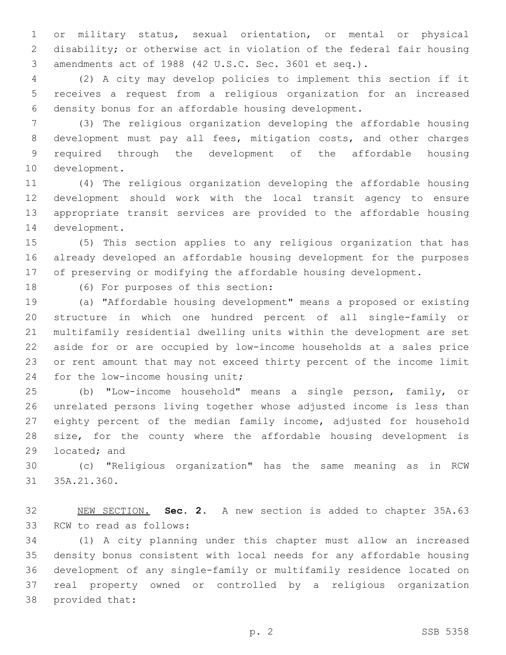or military status, sexual orientation, or mental or physical disability; or otherwise act in violation of the federal fair housing amendments act of 1988 (42 U.S.C. Sec. 3601 et seq.).

 (2) A city may develop policies to implement this section if it receives a request from a religious organization for an increased density bonus for an affordable housing development.

 (3) The religious organization developing the affordable housing development must pay all fees, mitigation costs, and other charges required through the development of the affordable housing 10 development.

 (4) The religious organization developing the affordable housing development should work with the local transit agency to ensure appropriate transit services are provided to the affordable housing 14 development.

 (5) This section applies to any religious organization that has already developed an affordable housing development for the purposes of preserving or modifying the affordable housing development.

18 (6) For purposes of this section:

 (a) "Affordable housing development" means a proposed or existing structure in which one hundred percent of all single-family or multifamily residential dwelling units within the development are set aside for or are occupied by low-income households at a sales price or rent amount that may not exceed thirty percent of the income limit 24 for the low-income housing unit;

 (b) "Low-income household" means a single person, family, or unrelated persons living together whose adjusted income is less than eighty percent of the median family income, adjusted for household size, for the county where the affordable housing development is 29 located; and

 (c) "Religious organization" has the same meaning as in RCW 31 35A.21.360.

 NEW SECTION. **Sec. 2.** A new section is added to chapter 35A.63 33 RCW to read as follows:

 (1) A city planning under this chapter must allow an increased density bonus consistent with local needs for any affordable housing development of any single-family or multifamily residence located on real property owned or controlled by a religious organization 38 provided that: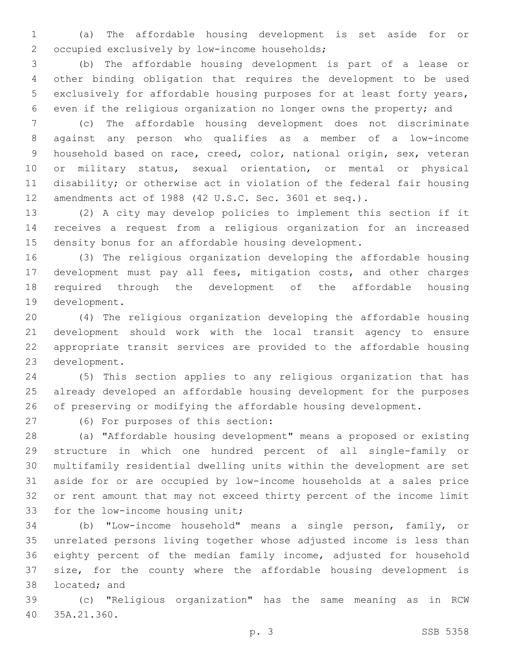(a) The affordable housing development is set aside for or 2 occupied exclusively by low-income households;

 (b) The affordable housing development is part of a lease or other binding obligation that requires the development to be used exclusively for affordable housing purposes for at least forty years, even if the religious organization no longer owns the property; and

 (c) The affordable housing development does not discriminate against any person who qualifies as a member of a low-income household based on race, creed, color, national origin, sex, veteran or military status, sexual orientation, or mental or physical disability; or otherwise act in violation of the federal fair housing amendments act of 1988 (42 U.S.C. Sec. 3601 et seq.).

 (2) A city may develop policies to implement this section if it receives a request from a religious organization for an increased density bonus for an affordable housing development.

 (3) The religious organization developing the affordable housing development must pay all fees, mitigation costs, and other charges required through the development of the affordable housing 19 development.

 (4) The religious organization developing the affordable housing development should work with the local transit agency to ensure appropriate transit services are provided to the affordable housing 23 development.

 (5) This section applies to any religious organization that has already developed an affordable housing development for the purposes of preserving or modifying the affordable housing development.

(6) For purposes of this section:27

 (a) "Affordable housing development" means a proposed or existing structure in which one hundred percent of all single-family or multifamily residential dwelling units within the development are set aside for or are occupied by low-income households at a sales price or rent amount that may not exceed thirty percent of the income limit 33 for the low-income housing unit;

 (b) "Low-income household" means a single person, family, or unrelated persons living together whose adjusted income is less than eighty percent of the median family income, adjusted for household size, for the county where the affordable housing development is 38 located; and

 (c) "Religious organization" has the same meaning as in RCW 35A.21.360.40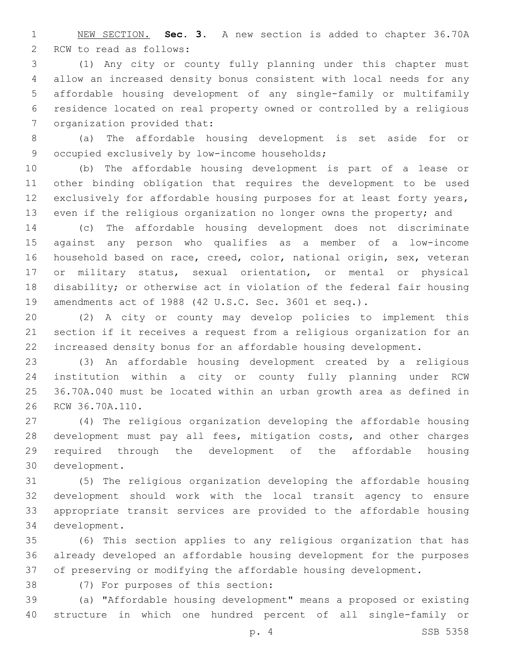NEW SECTION. **Sec. 3.** A new section is added to chapter 36.70A 2 RCW to read as follows:

 (1) Any city or county fully planning under this chapter must allow an increased density bonus consistent with local needs for any affordable housing development of any single-family or multifamily residence located on real property owned or controlled by a religious 7 organization provided that:

 (a) The affordable housing development is set aside for or 9 occupied exclusively by low-income households;

 (b) The affordable housing development is part of a lease or other binding obligation that requires the development to be used exclusively for affordable housing purposes for at least forty years, even if the religious organization no longer owns the property; and

 (c) The affordable housing development does not discriminate against any person who qualifies as a member of a low-income household based on race, creed, color, national origin, sex, veteran or military status, sexual orientation, or mental or physical disability; or otherwise act in violation of the federal fair housing amendments act of 1988 (42 U.S.C. Sec. 3601 et seq.).

 (2) A city or county may develop policies to implement this section if it receives a request from a religious organization for an increased density bonus for an affordable housing development.

 (3) An affordable housing development created by a religious institution within a city or county fully planning under RCW 36.70A.040 must be located within an urban growth area as defined in 26 RCW 36.70A.110.

 (4) The religious organization developing the affordable housing development must pay all fees, mitigation costs, and other charges required through the development of the affordable housing development.30

 (5) The religious organization developing the affordable housing development should work with the local transit agency to ensure appropriate transit services are provided to the affordable housing 34 development.

 (6) This section applies to any religious organization that has already developed an affordable housing development for the purposes of preserving or modifying the affordable housing development.

38 (7) For purposes of this section:

 (a) "Affordable housing development" means a proposed or existing structure in which one hundred percent of all single-family or